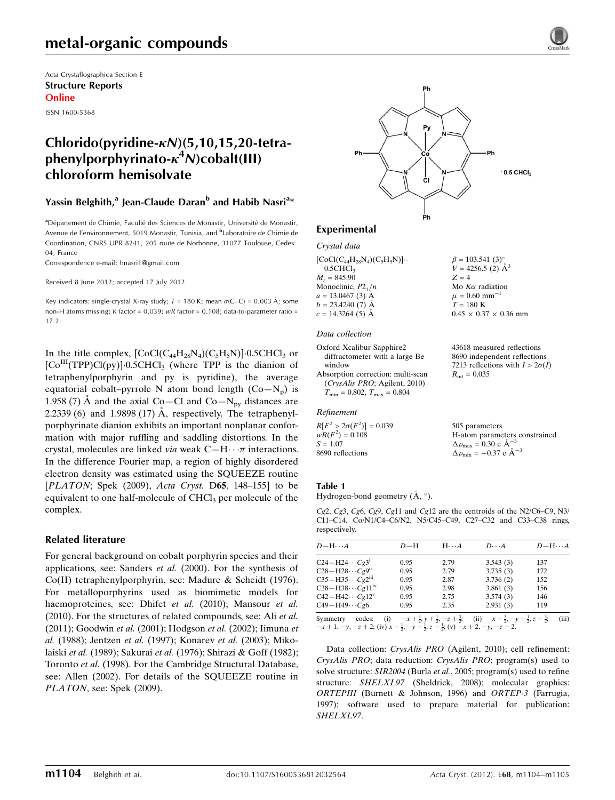Acta Crystallographica Section E Structure Reports Online

ISSN 1600-5368

# Chlorido(pyridine- $\kappa$ N)(5,10,15,20-tetraphenylporphyrinato- $\kappa^4$ N)cobalt(III) chloroform hemisolvate

## Yassin Belghith,<sup>a</sup> Jean-Claude Daran<sup>b</sup> and Habib Nasri<sup>a</sup>\*

<sup>a</sup> Département de Chimie, Faculté des Sciences de Monastir, Université de Monastir, Avenue de l'environnement, 5019 Monastir, Tunisia, and <sup>b</sup>Laboratoire de Chimie de Coordination, CNRS UPR 8241, 205 route de Norbonne, 31077 Toulouse, Cedex 04, France

Correspondence e-mail: [hnasri1@gmail.com](https://scripts.iucr.org/cgi-bin/cr.cgi?rm=pdfbb&cnor=su2453&bbid=BB21)

Received 8 June 2012; accepted 17 July 2012

Key indicators: single-crystal X-ray study;  $T$  = 180 K; mean  $\sigma$ (C–C) = 0.003 Å; some non-H atoms missing; R factor = 0.039; wR factor = 0.108; data-to-parameter ratio = 17.2.

In the title complex,  $[CoCl(C_{44}H_{28}N_4)(C_5H_5N)] \cdot 0.5CHCl_3$  or [Co<sup>III</sup>(TPP)Cl(py)]-0.5CHCl<sub>3</sub> (where TPP is the dianion of tetraphenylporphyrin and py is pyridine), the average equatorial cobalt–pyrrole N atom bond length  $(Co-N_p)$  is 1.958 (7) Å and the axial Co–Cl and Co–N<sub>py</sub> distances are 2.2339 (6) and 1.9898 (17) Å, respectively. The tetraphenylporphyrinate dianion exhibits an important nonplanar conformation with major ruffling and saddling distortions. In the crystal, molecules are linked via weak  $C-H \cdot \cdot \pi$  interactions. In the difference Fourier map, a region of highly disordered electron density was estimated using the SQUEEZE routine [ $PLATOR$ ; Spek (2009), Acta Cryst. D65, 148-155] to be equivalent to one half-molecule of  $CHCl<sub>3</sub>$  per molecule of the complex.

### Related literature

For general background on cobalt porphyrin species and their applications, see: Sanders et al. (2000). For the synthesis of Co(II) tetraphenylporphyrin, see: Madure & Scheidt (1976). For metalloporphyrins used as biomimetic models for haemoproteines, see: Dhifet et al. (2010); Mansour et al. (2010). For the structures of related compounds, see: Ali et al. (2011); Goodwin et al. (2001); Hodgson et al. (2002); Iimuna et al. (1988); Jentzen et al. (1997); Konarev et al. (2003); Mikolaiski et al. (1989); Sakurai et al. (1976); Shirazi & Goff (1982); Toronto et al. (1998). For the Cambridge Structural Database, see: Allen (2002). For details of the SQUEEZE routine in PLATON, see: Spek (2009).



 $B = 103.541(3)$ °  $V = 4256.5$  (2)  $\AA^3$ 

Mo $K\alpha$  radiation  $\mu$  = 0.60 mm<sup>-1</sup>  $T = 180 \text{ K}$ 

 $R_{\text{int}} = 0.035$ 

505 parameters

 $\Delta \rho_{\text{max}} = 0.30 \text{ e A}^{-3}$  $\Delta \rho_{\text{min}} = -0.37 \text{ e A}^{-3}$ 

 $0.45 \times 0.37 \times 0.36$  mm

43618 measured reflections 8690 independent reflections 7213 reflections with  $I > 2\sigma(I)$ 

H-atom parameters constrained

 $Z = 4$ 

## Experimental

Crystal data

 $[CoCl(C_{44}H_{28}N_4)(C_5H_5N)]$ .  $0.5CHCl<sub>3</sub>$  $M_r = 845.90$ Monoclinic,  $P2_1/n$  $a = 13.0467(3)$  A  $b = 23.4240(7)$  Å  $c = 14.3264(5)$  Å

#### Data collection

Oxford Xcalibur Sapphire2 diffractometer with a large Be window Absorption correction: multi-scan (CrysAlis PRO; Agilent, 2010)  $T_{\text{min}} = 0.802, T_{\text{max}} = 0.804$ 

#### Refinement

 $R[F^2 > 2\sigma(F^2)] = 0.039$  $wR(F^2) = 0.108$  $S = 1.07$ 8690 reflections

#### Table 1

Hydrogen-bond geometry  $(\AA, \degree)$ .

Cg2, Cg3, Cg6, Cg9, Cg11 and Cg12 are the centroids of the N2/C6–C9, N3/ C11–C14, Co/N1/C4–C6/N2, N5/C45–C49, C27–C32 and C33–C38 rings, respectively.

| $D - H \cdots A$                   | $D-H$ | $H \cdots A$                                          | $D\cdot\cdot\cdot A$                                    | $D - H \cdots A$ |
|------------------------------------|-------|-------------------------------------------------------|---------------------------------------------------------|------------------|
| $C24-H24\cdots Cg3^i$              | 0.95  | 2.79                                                  | 3.543(3)                                                | 137              |
| $C28 - H28 \cdots Cg9^{ii}$        | 0.95  | 2.79                                                  | 3.735(3)                                                | 172              |
| $C35-H35\cdots Cg2$ <sup>iii</sup> | 0.95  | 2.87                                                  | 3.736(2)                                                | 152              |
| $C38 - H38 \cdots Cg11^{W}$        | 0.95  | 2.98                                                  | 3.861(3)                                                | 156              |
| $C42 - H42 \cdots Cg12^v$          | 0.95  | 2.75                                                  | 3.574(3)                                                | 146              |
| $C49 - H49 \cdots Cg6$             | 0.95  | 2.35                                                  | 2.931(3)                                                | 119              |
| Symmetry<br>codes:<br>(i)          |       | $-x + \frac{3}{2}y + \frac{1}{2}z - z + \frac{3}{2}z$ | (ii) $x - \frac{3}{2} - y - \frac{1}{2}z - \frac{3}{2}$ | (iii)            |

Symmetry codes: (i)  $-x+\frac{3}{2}$ ,  $y+\frac{1}{2}$ ,  $-z+\frac{3}{2}$ ; (ii)  $x-\frac{3}{2}$ ,  $-y-\frac{1}{2}$ <br> $-x+1$ ,  $-y$ ,  $-z+2$ ; (iv)  $x-\frac{1}{2}$ ,  $-y-\frac{1}{2}$ ,  $z-\frac{1}{2}$ ; (v)  $-x+2$ ,  $-y$ ,  $-z+2$ .  $\frac{1}{2}$ ,  $z - \frac{3}{2}$  $\frac{3}{2}$ ; (iii)

Data collection: CrysAlis PRO (Agilent, 2010); cell refinement: CrysAlis PRO; data reduction: CrysAlis PRO; program(s) used to solve structure: SIR2004 (Burla et al., 2005; program(s) used to refine structure: SHELXL97 (Sheldrick, 2008); molecular graphics: ORTEPIII (Burnett & Johnson, 1996) and ORTEP-3 (Farrugia, 1997); software used to prepare material for publication: SHELXL97.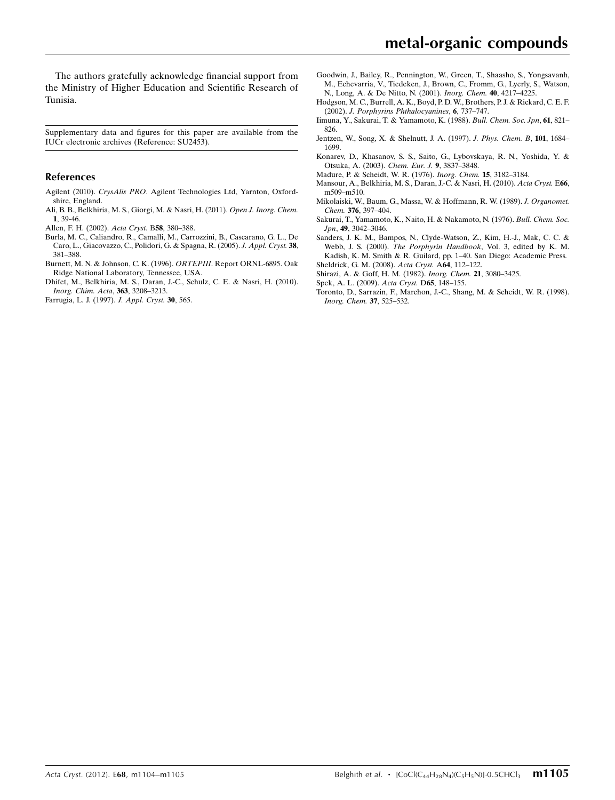The authors gratefully acknowledge financial support from the Ministry of Higher Education and Scientific Research of Tunisia.

Supplementary data and figures for this paper are available from the IUCr electronic archives (Reference: SU2453).

#### References

- Agilent (2010). CrysAlis PRO[. Agilent Technologies Ltd, Yarnton, Oxford](https://scripts.iucr.org/cgi-bin/cr.cgi?rm=pdfbb&cnor=su2453&bbid=BB1)[shire, England.](https://scripts.iucr.org/cgi-bin/cr.cgi?rm=pdfbb&cnor=su2453&bbid=BB1)
- [Ali, B. B., Belkhiria, M. S., Giorgi, M. & Nasri, H. \(2011\).](https://scripts.iucr.org/cgi-bin/cr.cgi?rm=pdfbb&cnor=su2453&bbid=BB2) Open J. Inorg. Chem. 1[, 39-46.](https://scripts.iucr.org/cgi-bin/cr.cgi?rm=pdfbb&cnor=su2453&bbid=BB2)
- [Allen, F. H. \(2002\).](https://scripts.iucr.org/cgi-bin/cr.cgi?rm=pdfbb&cnor=su2453&bbid=BB3) Acta Cryst. B58, 380–388.
- [Burla, M. C., Caliandro, R., Camalli, M., Carrozzini, B., Cascarano, G. L., De](https://scripts.iucr.org/cgi-bin/cr.cgi?rm=pdfbb&cnor=su2453&bbid=BB4) [Caro, L., Giacovazzo, C., Polidori, G. & Spagna, R. \(2005\).](https://scripts.iucr.org/cgi-bin/cr.cgi?rm=pdfbb&cnor=su2453&bbid=BB4) J. Appl. Cryst. 38, [381–388.](https://scripts.iucr.org/cgi-bin/cr.cgi?rm=pdfbb&cnor=su2453&bbid=BB4)
- [Burnett, M. N. & Johnson, C. K. \(1996\).](https://scripts.iucr.org/cgi-bin/cr.cgi?rm=pdfbb&cnor=su2453&bbid=BB5) ORTEPIII. Report ORNL-6895. Oak [Ridge National Laboratory, Tennessee, USA.](https://scripts.iucr.org/cgi-bin/cr.cgi?rm=pdfbb&cnor=su2453&bbid=BB5)
- [Dhifet, M., Belkhiria, M. S., Daran, J.-C., Schulz, C. E. & Nasri, H. \(2010\).](https://scripts.iucr.org/cgi-bin/cr.cgi?rm=pdfbb&cnor=su2453&bbid=BB6) [Inorg. Chim. Acta](https://scripts.iucr.org/cgi-bin/cr.cgi?rm=pdfbb&cnor=su2453&bbid=BB6), 363, 3208–3213.
- [Farrugia, L. J. \(1997\).](https://scripts.iucr.org/cgi-bin/cr.cgi?rm=pdfbb&cnor=su2453&bbid=BB7) J. Appl. Cryst. 30, 565.
- [Goodwin, J., Bailey, R., Pennington, W., Green, T., Shaasho, S., Yongsavanh,](https://scripts.iucr.org/cgi-bin/cr.cgi?rm=pdfbb&cnor=su2453&bbid=BB8) [M., Echevarria, V., Tiedeken, J., Brown, C., Fromm, G., Lyerly, S., Watson,](https://scripts.iucr.org/cgi-bin/cr.cgi?rm=pdfbb&cnor=su2453&bbid=BB8) [N., Long, A. & De Nitto, N. \(2001\).](https://scripts.iucr.org/cgi-bin/cr.cgi?rm=pdfbb&cnor=su2453&bbid=BB8) Inorg. Chem. 40, 4217–4225.
- [Hodgson, M. C., Burrell, A. K., Boyd, P. D. W., Brothers, P. J. & Rickard, C. E. F.](https://scripts.iucr.org/cgi-bin/cr.cgi?rm=pdfbb&cnor=su2453&bbid=BB9) (2002). [J. Porphyrins Phthalocyanines](https://scripts.iucr.org/cgi-bin/cr.cgi?rm=pdfbb&cnor=su2453&bbid=BB9), 6, 737–747.
- [Iimuna, Y., Sakurai, T. & Yamamoto, K. \(1988\).](https://scripts.iucr.org/cgi-bin/cr.cgi?rm=pdfbb&cnor=su2453&bbid=BB10) Bull. Chem. Soc. Jpn, 61, 821– [826.](https://scripts.iucr.org/cgi-bin/cr.cgi?rm=pdfbb&cnor=su2453&bbid=BB10)
- [Jentzen, W., Song, X. & Shelnutt, J. A. \(1997\).](https://scripts.iucr.org/cgi-bin/cr.cgi?rm=pdfbb&cnor=su2453&bbid=BB11) J. Phys. Chem. B, 101, 1684– [1699.](https://scripts.iucr.org/cgi-bin/cr.cgi?rm=pdfbb&cnor=su2453&bbid=BB11)
- [Konarev, D., Khasanov, S. S., Saito, G., Lybovskaya, R. N., Yoshida, Y. &](https://scripts.iucr.org/cgi-bin/cr.cgi?rm=pdfbb&cnor=su2453&bbid=BB12) [Otsuka, A. \(2003\).](https://scripts.iucr.org/cgi-bin/cr.cgi?rm=pdfbb&cnor=su2453&bbid=BB12) Chem. Eur. J. 9, 3837–3848.
- [Madure, P. & Scheidt, W. R. \(1976\).](https://scripts.iucr.org/cgi-bin/cr.cgi?rm=pdfbb&cnor=su2453&bbid=BB13) Inorg. Chem. 15, 3182–3184.
- [Mansour, A., Belkhiria, M. S., Daran, J.-C. & Nasri, H. \(2010\).](https://scripts.iucr.org/cgi-bin/cr.cgi?rm=pdfbb&cnor=su2453&bbid=BB14) Acta Cryst. E66, [m509–m510.](https://scripts.iucr.org/cgi-bin/cr.cgi?rm=pdfbb&cnor=su2453&bbid=BB14)
- [Mikolaiski, W., Baum, G., Massa, W. & Hoffmann, R. W. \(1989\).](https://scripts.iucr.org/cgi-bin/cr.cgi?rm=pdfbb&cnor=su2453&bbid=BB15) J. Organomet. Chem. 376[, 397–404.](https://scripts.iucr.org/cgi-bin/cr.cgi?rm=pdfbb&cnor=su2453&bbid=BB15)
- [Sakurai, T., Yamamoto, K., Naito, H. & Nakamoto, N. \(1976\).](https://scripts.iucr.org/cgi-bin/cr.cgi?rm=pdfbb&cnor=su2453&bbid=BB16) Bull. Chem. Soc. Jpn, 49[, 3042–3046.](https://scripts.iucr.org/cgi-bin/cr.cgi?rm=pdfbb&cnor=su2453&bbid=BB16)
- [Sanders, J. K. M., Bampos, N., Clyde-Watson, Z., Kim, H.-J., Mak, C. C. &](https://scripts.iucr.org/cgi-bin/cr.cgi?rm=pdfbb&cnor=su2453&bbid=BB17) Webb, J. S. (2000). The Porphyrin Handbook[, Vol. 3, edited by K. M.](https://scripts.iucr.org/cgi-bin/cr.cgi?rm=pdfbb&cnor=su2453&bbid=BB17) [Kadish, K. M. Smith & R. Guilard, pp. 1–40. San Diego: Academic Press.](https://scripts.iucr.org/cgi-bin/cr.cgi?rm=pdfbb&cnor=su2453&bbid=BB17)
- [Sheldrick, G. M. \(2008\).](https://scripts.iucr.org/cgi-bin/cr.cgi?rm=pdfbb&cnor=su2453&bbid=BB18) Acta Cryst. A64, 112–122.
- [Shirazi, A. & Goff, H. M. \(1982\).](https://scripts.iucr.org/cgi-bin/cr.cgi?rm=pdfbb&cnor=su2453&bbid=BB19) Inorg. Chem. 21, 3080–3425.
- [Spek, A. L. \(2009\).](https://scripts.iucr.org/cgi-bin/cr.cgi?rm=pdfbb&cnor=su2453&bbid=BB20) Acta Cryst. D65, 148-155.
- [Toronto, D., Sarrazin, F., Marchon, J.-C., Shang, M. & Scheidt, W. R. \(1998\).](https://scripts.iucr.org/cgi-bin/cr.cgi?rm=pdfbb&cnor=su2453&bbid=BB21) [Inorg. Chem.](https://scripts.iucr.org/cgi-bin/cr.cgi?rm=pdfbb&cnor=su2453&bbid=BB21) 37, 525–532.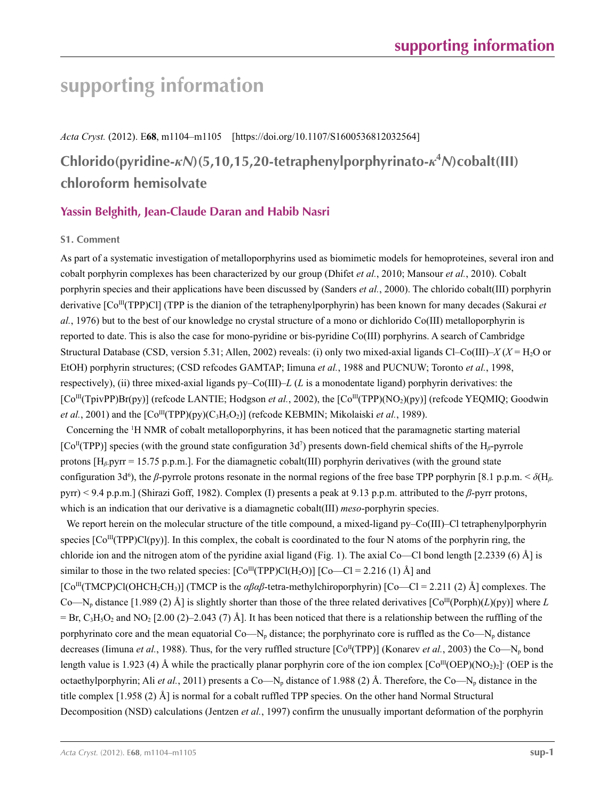# **supporting information**

*Acta Cryst.* (2012). E**68**, m1104–m1105 [https://doi.org/10.1107/S1600536812032564]

**Chlorido(pyridine-***κN***)(5,10,15,20-tetraphenylporphyrinato-***κ***<sup>4</sup>** *N***)cobalt(III) chloroform hemisolvate**

# **Yassin Belghith, Jean-Claude Daran and Habib Nasri**

## **S1. Comment**

As part of a systematic investigation of metalloporphyrins used as biomimetic models for hemoproteines, several iron and cobalt porphyrin complexes has been characterized by our group (Dhifet *et al.*, 2010; Mansour *et al.*, 2010). Cobalt porphyrin species and their applications have been discussed by (Sanders *et al.*, 2000). The chlorido cobalt(III) porphyrin derivative [Co<sup>III</sup>(TPP)Cl] (TPP is the dianion of the tetraphenylporphyrin) has been known for many decades (Sakurai *et al.*, 1976) but to the best of our knowledge no crystal structure of a mono or dichlorido Co(III) metalloporphyrin is reported to date. This is also the case for mono-pyridine or bis-pyridine Co(III) porphyrins. A search of Cambridge Structural Database (CSD, version 5.31; Allen, 2002) reveals: (i) only two mixed-axial ligands Cl–Co(III)– $X(X = H_2O$  or EtOH) porphyrin structures; (CSD refcodes GAMTAP; Iimuna *et al.*, 1988 and PUCNUW; Toronto *et al.*, 1998, respectively), (ii) three mixed-axial ligands py–Co(III)–*L* (*L* is a monodentate ligand) porphyrin derivatives: the [Co<sup>III</sup>(TpivPP)Br(py)] (refcode LANTIE; Hodgson *et al.*, 2002), the [Co<sup>III</sup>(TPP)(NO<sub>2</sub>)(py)] (refcode YEOMIO; Goodwin *et al.*, 2001) and the  $\lbrack \text{Co}^{\text{III}}(\text{TPP})(\text{py})(C_3H_5O_2) \rbrack$  (refcode KEBMIN; Mikolaiski *et al.*, 1989).

Concerning the 1 H NMR of cobalt metalloporphyrins, it has been noticed that the paramagnetic starting material [Co<sup>II</sup>(TPP)] species (with the ground state configuration 3d<sup>7</sup>) presents down-field chemical shifts of the H<sub>β</sub>-pyrrole protons [H*β*-pyrr = 15.75 p.p.m.]. For the diamagnetic cobalt(III) porphyrin derivatives (with the ground state configuration 3d<sup>6</sup>), the *β*-pyrrole protons resonate in the normal regions of the free base TPP porphyrin [8.1 p.p.m. <  $\delta(H_\beta)$ pyrr) < 9.4 p.p.m.] (Shirazi Goff, 1982). Complex (I) presents a peak at 9.13 p.p.m. attributed to the *β*-pyrr protons, which is an indication that our derivative is a diamagnetic cobalt(III) *meso*-porphyrin species.

We report herein on the molecular structure of the title compound, a mixed-ligand py–Co(III)–Cl tetraphenylporphyrin species  $[Co^{III}(TPP)Cl(py)]$ . In this complex, the cobalt is coordinated to the four N atoms of the porphyrin ring, the chloride ion and the nitrogen atom of the pyridine axial ligand (Fig. 1). The axial Co—Cl bond length  $[2.2339 (6) \text{ Å}]$  is similar to those in the two related species:  $\text{[Co}^{\text{III}}(\text{TPP})\text{Cl}(H_2\text{O})$ ]  $\text{[Co}^{\text{I}}\text{C}^{\text{I}}=2.216(1)$  Å] and [Co<sup>III</sup>(TMCP)Cl(OHCH<sub>2</sub>CH<sub>3</sub>)] (TMCP is the *αβαβ*-tetra-methylchiroporphyrin) [Co—Cl = 2.211 (2) Å] complexes. The Co—N<sub>p</sub> distance [1.989 (2) Å] is slightly shorter than those of the three related derivatives  $[Co<sup>III</sup>(Poph)(*L*)(py)]$  where *L*  $=$  Br, C<sub>3</sub>H<sub>5</sub>O<sub>2</sub> and NO<sub>2</sub> [2.00 (2)–2.043 (7) Å]. It has been noticed that there is a relationship between the ruffling of the porphyrinato core and the mean equatorial Co—N<sub>p</sub> distance; the porphyrinato core is ruffled as the Co—N<sub>p</sub> distance decreases (Iimuna *et al.*, 1988). Thus, for the very ruffled structure  $[Co<sup>H</sup>(TPP)]$  (Konarev *et al.*, 2003) the Co—N<sub>p</sub> bond length value is 1.923 (4) Å while the practically planar porphyrin core of the ion complex  $[Co^{III}(OEP)(NO<sub>2</sub>)]$ <sup>-</sup> (OEP is the octaethylporphyrin; Ali *et al.*, 2011) presents a Co—N<sub>p</sub> distance of 1.988 (2) Å. Therefore, the Co—N<sub>p</sub> distance in the title complex [1.958 (2) Å] is normal for a cobalt ruffled TPP species. On the other hand Normal Structural Decomposition (NSD) calculations (Jentzen *et al.*, 1997) confirm the unusually important deformation of the porphyrin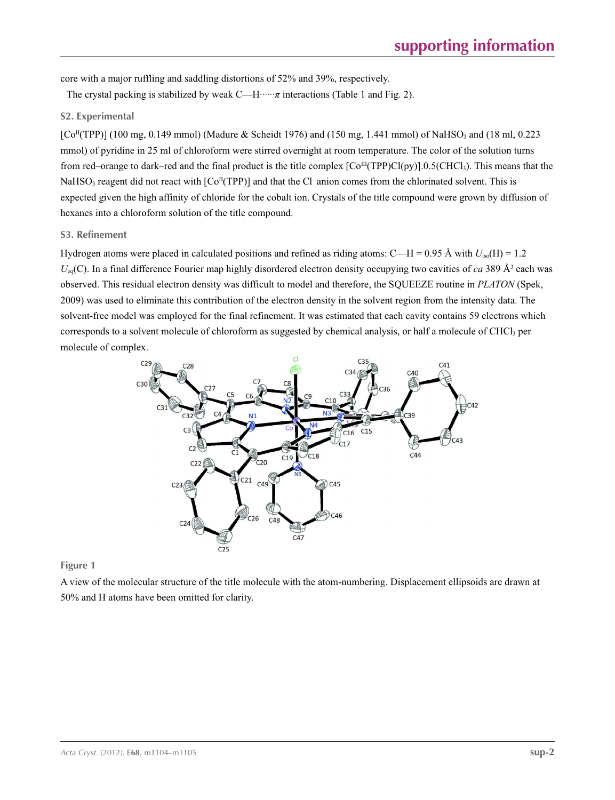core with a major ruffling and saddling distortions of 52% and 39%, respectively.

The crystal packing is stabilized by weak C—H······*π* interactions (Table 1 and Fig. 2).

### **S2. Experimental**

 $[C<sup>II</sup>(TPP)]$  (100 mg, 0.149 mmol) (Madure & Scheidt 1976) and (150 mg, 1.441 mmol) of NaHSO<sub>3</sub> and (18 ml, 0.223 mmol) of pyridine in 25 ml of chloroform were stirred overnight at room temperature. The color of the solution turns from red–orange to dark–red and the final product is the title complex  $\text{[Co}^{\text{III}}(\text{TPP})\text{Cl}(p\text{y})]$ .0.5(CHCl<sub>3</sub>). This means that the NaHSO<sub>3</sub> reagent did not react with  $[Co<sup>H</sup>(TPP)]$  and that the Cl anion comes from the chlorinated solvent. This is expected given the high affinity of chloride for the cobalt ion. Crystals of the title compound were grown by diffusion of hexanes into a chloroform solution of the title compound.

#### **S3. Refinement**

Hydrogen atoms were placed in calculated positions and refined as riding atoms: C—H =  $0.95 \text{ Å}$  with  $U_{\text{iso}}(H) = 1.2$  $U_{eq}(C)$ . In a final difference Fourier map highly disordered electron density occupying two cavities of *ca* 389  $\AA$ <sup>3</sup> each was observed. This residual electron density was difficult to model and therefore, the SQUEEZE routine in *PLATON* (Spek, 2009) was used to eliminate this contribution of the electron density in the solvent region from the intensity data. The solvent-free model was employed for the final refinement. It was estimated that each cavity contains 59 electrons which corresponds to a solvent molecule of chloroform as suggested by chemical analysis, or half a molecule of CHCl<sub>3</sub> per molecule of complex.



**Figure 1**

A view of the molecular structure of the title molecule with the atom-numbering. Displacement ellipsoids are drawn at 50% and H atoms have been omitted for clarity.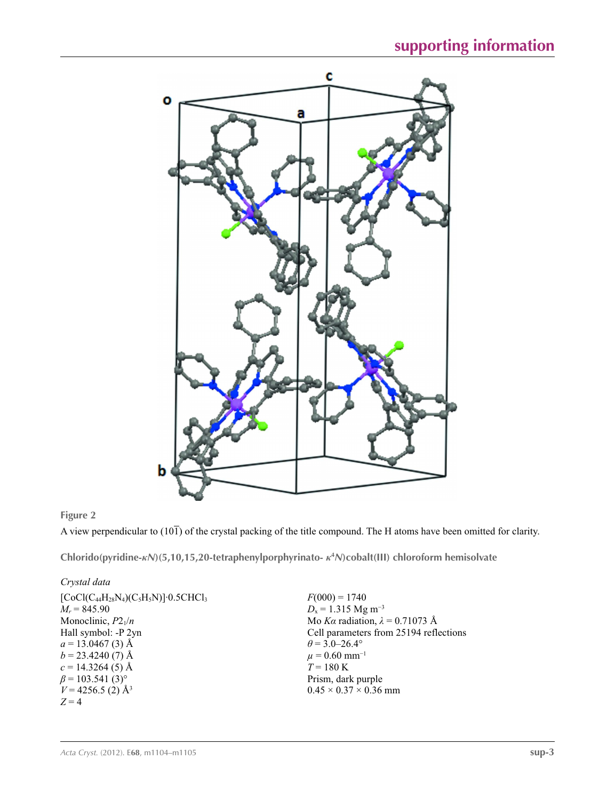

# **Figure 2**

A view perpendicular to  $(10\bar{1})$  of the crystal packing of the title compound. The H atoms have been omitted for clarity.

**Chlorido(pyridine-***κN***)(5,10,15,20-tetraphenylporphyrinato-** *κ***<sup>4</sup>** *N***)cobalt(III) chloroform hemisolvate** 

### *Crystal data*

| $F(000) = 1740$                        |
|----------------------------------------|
| $D_x = 1.315$ Mg m <sup>-3</sup>       |
| Mo Ka radiation, $\lambda = 0.71073$ Å |
| Cell parameters from 25194 reflections |
| $\theta$ = 3.0–26.4°                   |
| $\mu = 0.60$ mm <sup>-1</sup>          |
| $T = 180 \text{ K}$                    |
| Prism, dark purple                     |
| $0.45 \times 0.37 \times 0.36$ mm      |
|                                        |
|                                        |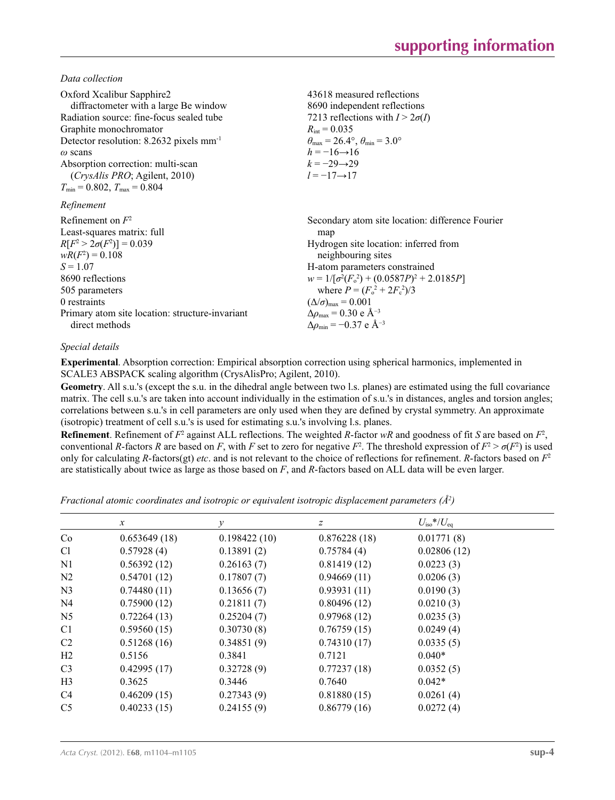*Data collection*

| Oxford Xcalibur Sapphire2<br>diffractometer with a large Be window<br>Radiation source: fine-focus sealed tube<br>Graphite monochromator<br>Detector resolution: $8.2632$ pixels mm <sup>-1</sup><br>$\omega$ scans<br>Absorption correction: multi-scan<br><i>(CrysAlis PRO</i> ; Agilent, 2010)<br>$T_{\min}$ = 0.802, $T_{\max}$ = 0.804 | 43618 measured reflections<br>8690 independent reflections<br>7213 reflections with $I > 2\sigma(I)$<br>$R_{\text{int}} = 0.035$<br>$\theta_{\text{max}} = 26.4^{\circ}, \theta_{\text{min}} = 3.0^{\circ}$<br>$h = -16 \rightarrow 16$<br>$k = -29 \rightarrow 29$<br>$l = -17 \rightarrow 17$                                                                                                    |
|---------------------------------------------------------------------------------------------------------------------------------------------------------------------------------------------------------------------------------------------------------------------------------------------------------------------------------------------|----------------------------------------------------------------------------------------------------------------------------------------------------------------------------------------------------------------------------------------------------------------------------------------------------------------------------------------------------------------------------------------------------|
| Refinement                                                                                                                                                                                                                                                                                                                                  |                                                                                                                                                                                                                                                                                                                                                                                                    |
| Refinement on $F^2$<br>Least-squares matrix: full<br>$R[F^2 > 2\sigma(F^2)] = 0.039$<br>$wR(F^2) = 0.108$<br>$S = 1.07$<br>8690 reflections<br>505 parameters<br>0 restraints<br>Primary atom site location: structure-invariant<br>direct methods                                                                                          | Secondary atom site location: difference Fourier<br>map<br>Hydrogen site location: inferred from<br>neighbouring sites<br>H-atom parameters constrained<br>$w = 1/[\sigma^2(F_0^2) + (0.0587P)^2 + 2.0185P]$<br>where $P = (F_0^2 + 2F_c^2)/3$<br>$(\Delta/\sigma)_{\text{max}} = 0.001$<br>$\Delta\rho_{\text{max}}$ = 0.30 e Å <sup>-3</sup><br>$\Delta\rho_{\rm min} = -0.37$ e Å <sup>-3</sup> |

#### *Special details*

**Experimental**. Absorption correction: Empirical absorption correction using spherical harmonics, implemented in SCALE3 ABSPACK scaling algorithm (CrysAlisPro; Agilent, 2010).

**Geometry**. All s.u.'s (except the s.u. in the dihedral angle between two l.s. planes) are estimated using the full covariance matrix. The cell s.u.'s are taken into account individually in the estimation of s.u.'s in distances, angles and torsion angles; correlations between s.u.'s in cell parameters are only used when they are defined by crystal symmetry. An approximate (isotropic) treatment of cell s.u.'s is used for estimating s.u.'s involving l.s. planes.

**Refinement**. Refinement of  $F^2$  against ALL reflections. The weighted  $R$ -factor  $wR$  and goodness of fit  $S$  are based on  $F^2$ , conventional *R*-factors *R* are based on *F*, with *F* set to zero for negative  $F^2$ . The threshold expression of  $F^2 > \sigma(F^2)$  is used only for calculating *R*-factors(gt) *etc*. and is not relevant to the choice of reflections for refinement. *R*-factors based on *F*<sup>2</sup> are statistically about twice as large as those based on *F*, and *R*-factors based on ALL data will be even larger.

*Fractional atomic coordinates and isotropic or equivalent isotropic displacement parameters (Å<sup>2</sup>)* 

|                | $\mathcal{X}$ | y            | z            | $U_{\rm iso}*/U_{\rm eq}$ |
|----------------|---------------|--------------|--------------|---------------------------|
| Co             | 0.653649(18)  | 0.198422(10) | 0.876228(18) | 0.01771(8)                |
| C <sub>1</sub> | 0.57928(4)    | 0.13891(2)   | 0.75784(4)   | 0.02806(12)               |
| N1             | 0.56392(12)   | 0.26163(7)   | 0.81419(12)  | 0.0223(3)                 |
| N <sub>2</sub> | 0.54701(12)   | 0.17807(7)   | 0.94669(11)  | 0.0206(3)                 |
| N <sub>3</sub> | 0.74480(11)   | 0.13656(7)   | 0.93931(11)  | 0.0190(3)                 |
| N <sub>4</sub> | 0.75900(12)   | 0.21811(7)   | 0.80496(12)  | 0.0210(3)                 |
| N <sub>5</sub> | 0.72264(13)   | 0.25204(7)   | 0.97968(12)  | 0.0235(3)                 |
| C <sub>1</sub> | 0.59560(15)   | 0.30730(8)   | 0.76759(15)  | 0.0249(4)                 |
| C <sub>2</sub> | 0.51268(16)   | 0.34851(9)   | 0.74310(17)  | 0.0335(5)                 |
| H2             | 0.5156        | 0.3841       | 0.7121       | $0.040*$                  |
| C <sub>3</sub> | 0.42995(17)   | 0.32728(9)   | 0.77237(18)  | 0.0352(5)                 |
| H <sub>3</sub> | 0.3625        | 0.3446       | 0.7640       | $0.042*$                  |
| C <sub>4</sub> | 0.46209(15)   | 0.27343(9)   | 0.81880(15)  | 0.0261(4)                 |
| C <sub>5</sub> | 0.40233(15)   | 0.24155(9)   | 0.86779(16)  | 0.0272(4)                 |
|                |               |              |              |                           |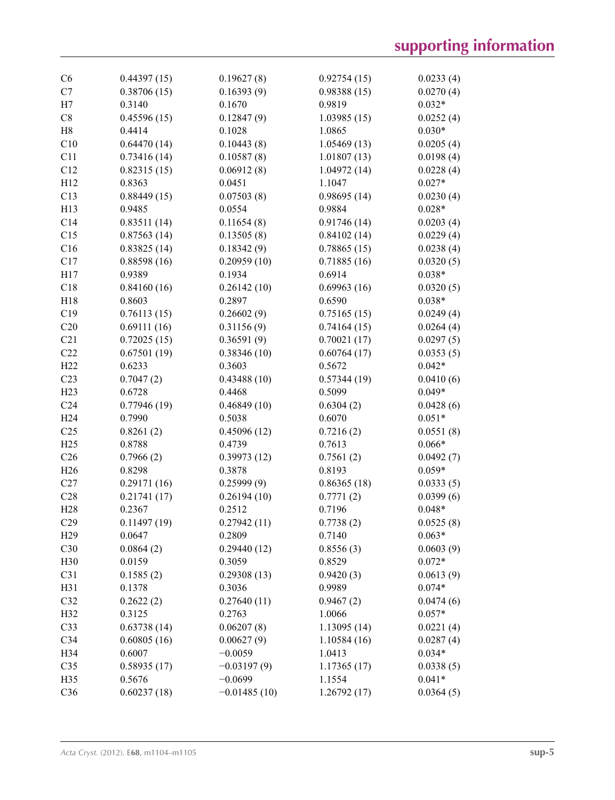| C6              | 0.44397(15) | 0.19627(8)     | 0.92754(15) | 0.0233(4) |
|-----------------|-------------|----------------|-------------|-----------|
| C7              | 0.38706(15) | 0.16393(9)     | 0.98388(15) | 0.0270(4) |
| H7              | 0.3140      | 0.1670         | 0.9819      | $0.032*$  |
| C8              | 0.45596(15) | 0.12847(9)     | 1.03985(15) | 0.0252(4) |
| H <sub>8</sub>  | 0.4414      | 0.1028         | 1.0865      | $0.030*$  |
| C10             | 0.64470(14) | 0.10443(8)     | 1.05469(13) | 0.0205(4) |
| C11             | 0.73416(14) | 0.10587(8)     | 1.01807(13) | 0.0198(4) |
| C12             | 0.82315(15) | 0.06912(8)     | 1.04972(14) | 0.0228(4) |
| H12             | 0.8363      | 0.0451         | 1.1047      | $0.027*$  |
| C13             | 0.88449(15) | 0.07503(8)     | 0.98695(14) | 0.0230(4) |
| H13             | 0.9485      | 0.0554         | 0.9884      | $0.028*$  |
| C14             | 0.83511(14) | 0.11654(8)     | 0.91746(14) | 0.0203(4) |
| C15             | 0.87563(14) | 0.13505(8)     | 0.84102(14) | 0.0229(4) |
| C16             | 0.83825(14) | 0.18342(9)     | 0.78865(15) | 0.0238(4) |
| C17             | 0.88598(16) | 0.20959(10)    | 0.71885(16) | 0.0320(5) |
| H17             | 0.9389      | 0.1934         | 0.6914      | $0.038*$  |
| C18             | 0.84160(16) | 0.26142(10)    | 0.69963(16) | 0.0320(5) |
| H18             | 0.8603      | 0.2897         | 0.6590      | $0.038*$  |
| C19             | 0.76113(15) | 0.26602(9)     | 0.75165(15) | 0.0249(4) |
| C20             | 0.69111(16) | 0.31156(9)     | 0.74164(15) | 0.0264(4) |
| C21             | 0.72025(15) | 0.36591(9)     | 0.70021(17) | 0.0297(5) |
| C22             | 0.67501(19) | 0.38346(10)    | 0.60764(17) | 0.0353(5) |
| H <sub>22</sub> | 0.6233      | 0.3603         | 0.5672      | $0.042*$  |
| C <sub>23</sub> | 0.7047(2)   | 0.43488(10)    | 0.57344(19) | 0.0410(6) |
| H23             | 0.6728      | 0.4468         | 0.5099      | $0.049*$  |
| C <sub>24</sub> | 0.77946(19) | 0.46849(10)    | 0.6304(2)   | 0.0428(6) |
| H <sub>24</sub> | 0.7990      | 0.5038         | 0.6070      | $0.051*$  |
| C <sub>25</sub> | 0.8261(2)   | 0.45096(12)    | 0.7216(2)   | 0.0551(8) |
| H25             | 0.8788      | 0.4739         | 0.7613      | $0.066*$  |
| C <sub>26</sub> | 0.7966(2)   | 0.39973(12)    | 0.7561(2)   | 0.0492(7) |
| H <sub>26</sub> | 0.8298      | 0.3878         | 0.8193      | $0.059*$  |
| C27             | 0.29171(16) | 0.25999(9)     | 0.86365(18) | 0.0333(5) |
| C28             | 0.21741(17) | 0.26194(10)    | 0.7771(2)   | 0.0399(6) |
| H <sub>28</sub> | 0.2367      | 0.2512         | 0.7196      | $0.048*$  |
| C29             | 0.11497(19) | 0.27942(11)    | 0.7738(2)   | 0.0525(8) |
| H <sub>29</sub> | 0.0647      | 0.2809         | 0.7140      | $0.063*$  |
| C30             | 0.0864(2)   | 0.29440(12)    | 0.8556(3)   | 0.0603(9) |
| H30             | 0.0159      | 0.3059         | 0.8529      | $0.072*$  |
| C31             | 0.1585(2)   | 0.29308(13)    | 0.9420(3)   | 0.0613(9) |
| H31             | 0.1378      | 0.3036         | 0.9989      | $0.074*$  |
| C32             | 0.2622(2)   | 0.27640(11)    | 0.9467(2)   | 0.0474(6) |
| H32             | 0.3125      | 0.2763         | 1.0066      | $0.057*$  |
| C33             | 0.63738(14) | 0.06207(8)     | 1.13095(14) | 0.0221(4) |
| C34             | 0.60805(16) | 0.00627(9)     | 1.10584(16) | 0.0287(4) |
| H34             | 0.6007      | $-0.0059$      | 1.0413      | $0.034*$  |
| C35             | 0.58935(17) | $-0.03197(9)$  | 1.17365(17) | 0.0338(5) |
| H35             | 0.5676      | $-0.0699$      | 1.1554      | $0.041*$  |
| C36             | 0.60237(18) | $-0.01485(10)$ | 1.26792(17) | 0.0364(5) |
|                 |             |                |             |           |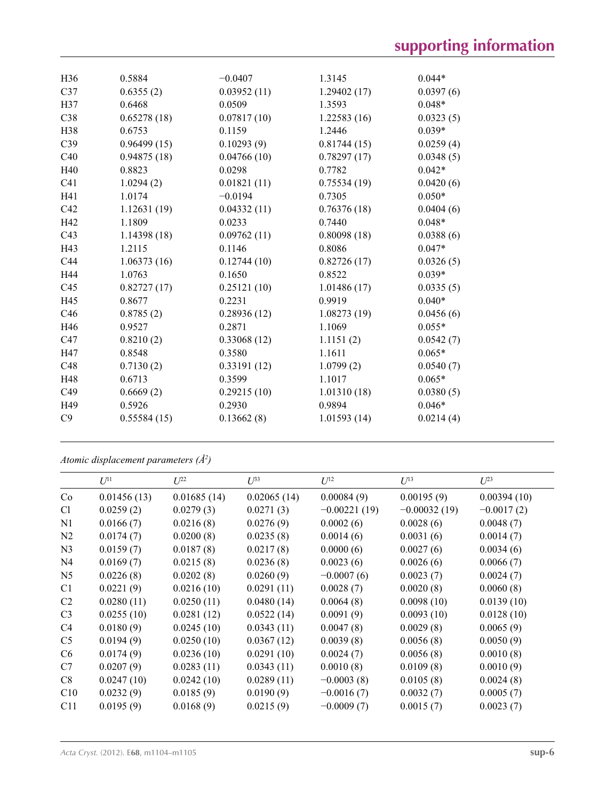| H36             | 0.5884      | $-0.0407$   | 1.3145      | $0.044*$  |
|-----------------|-------------|-------------|-------------|-----------|
| C37             | 0.6355(2)   | 0.03952(11) | 1.29402(17) | 0.0397(6) |
| H37             | 0.6468      | 0.0509      | 1.3593      | $0.048*$  |
| C38             | 0.65278(18) | 0.07817(10) | 1.22583(16) | 0.0323(5) |
| H38             | 0.6753      | 0.1159      | 1.2446      | $0.039*$  |
| C39             | 0.96499(15) | 0.10293(9)  | 0.81744(15) | 0.0259(4) |
| C40             | 0.94875(18) | 0.04766(10) | 0.78297(17) | 0.0348(5) |
| H40             | 0.8823      | 0.0298      | 0.7782      | $0.042*$  |
| C <sub>41</sub> | 1.0294(2)   | 0.01821(11) | 0.75534(19) | 0.0420(6) |
| H41             | 1.0174      | $-0.0194$   | 0.7305      | $0.050*$  |
| C42             | 1.12631(19) | 0.04332(11) | 0.76376(18) | 0.0404(6) |
| H42             | 1.1809      | 0.0233      | 0.7440      | $0.048*$  |
| C <sub>43</sub> | 1.14398(18) | 0.09762(11) | 0.80098(18) | 0.0388(6) |
| H43             | 1.2115      | 0.1146      | 0.8086      | $0.047*$  |
| C <sub>44</sub> | 1.06373(16) | 0.12744(10) | 0.82726(17) | 0.0326(5) |
| H44             | 1.0763      | 0.1650      | 0.8522      | $0.039*$  |
| C45             | 0.82727(17) | 0.25121(10) | 1.01486(17) | 0.0335(5) |
| H45             | 0.8677      | 0.2231      | 0.9919      | $0.040*$  |
| C46             | 0.8785(2)   | 0.28936(12) | 1.08273(19) | 0.0456(6) |
| H46             | 0.9527      | 0.2871      | 1.1069      | $0.055*$  |
| C47             | 0.8210(2)   | 0.33068(12) | 1.1151(2)   | 0.0542(7) |
| H47             | 0.8548      | 0.3580      | 1.1611      | $0.065*$  |
| C48             | 0.7130(2)   | 0.33191(12) | 1.0799(2)   | 0.0540(7) |
| H48             | 0.6713      | 0.3599      | 1.1017      | $0.065*$  |
| C49             | 0.6669(2)   | 0.29215(10) | 1.01310(18) | 0.0380(5) |
| H49             | 0.5926      | 0.2930      | 0.9894      | $0.046*$  |
| C9              | 0.55584(15) | 0.13662(8)  | 1.01593(14) | 0.0214(4) |
|                 |             |             |             |           |

*Atomic displacement parameters (Å2 )*

|                | $U^{11}$    | $U^{22}$    | $U^{33}$    | $U^{12}$       | $U^{13}$       | $U^{23}$     |
|----------------|-------------|-------------|-------------|----------------|----------------|--------------|
| Co             | 0.01456(13) | 0.01685(14) | 0.02065(14) | 0.00084(9)     | 0.00195(9)     | 0.00394(10)  |
| C <sub>1</sub> | 0.0259(2)   | 0.0279(3)   | 0.0271(3)   | $-0.00221(19)$ | $-0.00032(19)$ | $-0.0017(2)$ |
| N <sub>1</sub> | 0.0166(7)   | 0.0216(8)   | 0.0276(9)   | 0.0002(6)      | 0.0028(6)      | 0.0048(7)    |
| N <sub>2</sub> | 0.0174(7)   | 0.0200(8)   | 0.0235(8)   | 0.0014(6)      | 0.0031(6)      | 0.0014(7)    |
| N <sub>3</sub> | 0.0159(7)   | 0.0187(8)   | 0.0217(8)   | 0.0000(6)      | 0.0027(6)      | 0.0034(6)    |
| N <sub>4</sub> | 0.0169(7)   | 0.0215(8)   | 0.0236(8)   | 0.0023(6)      | 0.0026(6)      | 0.0066(7)    |
| N <sub>5</sub> | 0.0226(8)   | 0.0202(8)   | 0.0260(9)   | $-0.0007(6)$   | 0.0023(7)      | 0.0024(7)    |
| C <sub>1</sub> | 0.0221(9)   | 0.0216(10)  | 0.0291(11)  | 0.0028(7)      | 0.0020(8)      | 0.0060(8)    |
| C <sub>2</sub> | 0.0280(11)  | 0.0250(11)  | 0.0480(14)  | 0.0064(8)      | 0.0098(10)     | 0.0139(10)   |
| C <sub>3</sub> | 0.0255(10)  | 0.0281(12)  | 0.0522(14)  | 0.0091(9)      | 0.0093(10)     | 0.0128(10)   |
| C4             | 0.0180(9)   | 0.0245(10)  | 0.0343(11)  | 0.0047(8)      | 0.0029(8)      | 0.0065(9)    |
| C <sub>5</sub> | 0.0194(9)   | 0.0250(10)  | 0.0367(12)  | 0.0039(8)      | 0.0056(8)      | 0.0050(9)    |
| C <sub>6</sub> | 0.0174(9)   | 0.0236(10)  | 0.0291(10)  | 0.0024(7)      | 0.0056(8)      | 0.0010(8)    |
| C7             | 0.0207(9)   | 0.0283(11)  | 0.0343(11)  | 0.0010(8)      | 0.0109(8)      | 0.0010(9)    |
| C8             | 0.0247(10)  | 0.0242(10)  | 0.0289(11)  | $-0.0003(8)$   | 0.0105(8)      | 0.0024(8)    |
| C10            | 0.0232(9)   | 0.0185(9)   | 0.0190(9)   | $-0.0016(7)$   | 0.0032(7)      | 0.0005(7)    |
| C11            | 0.0195(9)   | 0.0168(9)   | 0.0215(9)   | $-0.0009(7)$   | 0.0015(7)      | 0.0023(7)    |
|                |             |             |             |                |                |              |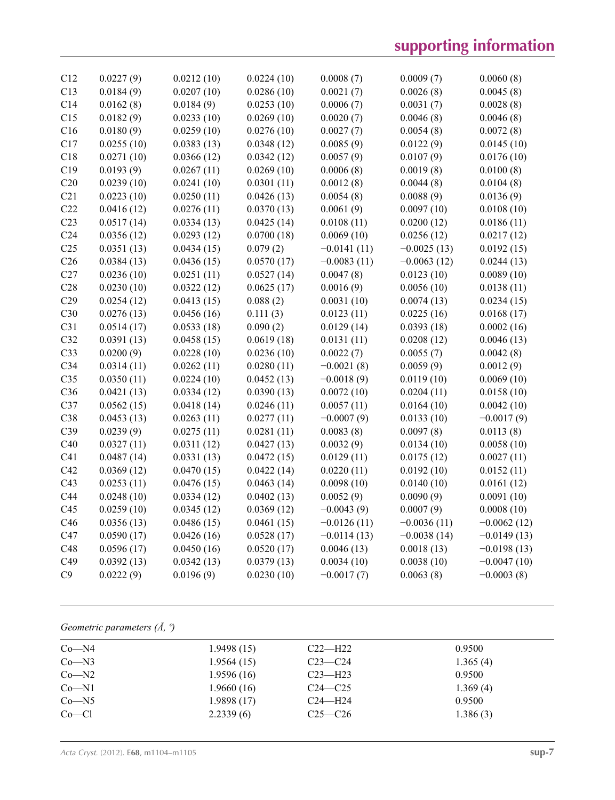# **supporting information**

| C <sub>12</sub> | 0.0227(9)  | 0.0212(10) | 0.0224(10) | 0.0008(7)     | 0.0009(7)     | 0.0060(8)     |
|-----------------|------------|------------|------------|---------------|---------------|---------------|
| C13             | 0.0184(9)  | 0.0207(10) | 0.0286(10) | 0.0021(7)     | 0.0026(8)     | 0.0045(8)     |
| C14             | 0.0162(8)  | 0.0184(9)  | 0.0253(10) | 0.0006(7)     | 0.0031(7)     | 0.0028(8)     |
| C15             | 0.0182(9)  | 0.0233(10) | 0.0269(10) | 0.0020(7)     | 0.0046(8)     | 0.0046(8)     |
| C16             | 0.0180(9)  | 0.0259(10) | 0.0276(10) | 0.0027(7)     | 0.0054(8)     | 0.0072(8)     |
| C17             | 0.0255(10) | 0.0383(13) | 0.0348(12) | 0.0085(9)     | 0.0122(9)     | 0.0145(10)    |
| C18             | 0.0271(10) | 0.0366(12) | 0.0342(12) | 0.0057(9)     | 0.0107(9)     | 0.0176(10)    |
| C19             | 0.0193(9)  | 0.0267(11) | 0.0269(10) | 0.0006(8)     | 0.0019(8)     | 0.0100(8)     |
| C20             | 0.0239(10) | 0.0241(10) | 0.0301(11) | 0.0012(8)     | 0.0044(8)     | 0.0104(8)     |
| C21             | 0.0223(10) | 0.0250(11) | 0.0426(13) | 0.0054(8)     | 0.0088(9)     | 0.0136(9)     |
| C22             | 0.0416(12) | 0.0276(11) | 0.0370(13) | 0.0061(9)     | 0.0097(10)    | 0.0108(10)    |
| C23             | 0.0517(14) | 0.0334(13) | 0.0425(14) | 0.0108(11)    | 0.0200(12)    | 0.0186(11)    |
| C <sub>24</sub> | 0.0356(12) | 0.0293(12) | 0.0700(18) | 0.0069(10)    | 0.0256(12)    | 0.0217(12)    |
| C <sub>25</sub> | 0.0351(13) | 0.0434(15) | 0.079(2)   | $-0.0141(11)$ | $-0.0025(13)$ | 0.0192(15)    |
| C <sub>26</sub> | 0.0384(13) | 0.0436(15) | 0.0570(17) | $-0.0083(11)$ | $-0.0063(12)$ | 0.0244(13)    |
| C27             | 0.0236(10) | 0.0251(11) | 0.0527(14) | 0.0047(8)     | 0.0123(10)    | 0.0089(10)    |
| C28             | 0.0230(10) | 0.0322(12) | 0.0625(17) | 0.0016(9)     | 0.0056(10)    | 0.0138(11)    |
| C29             | 0.0254(12) | 0.0413(15) | 0.088(2)   | 0.0031(10)    | 0.0074(13)    | 0.0234(15)    |
| C30             | 0.0276(13) | 0.0456(16) | 0.111(3)   | 0.0123(11)    | 0.0225(16)    | 0.0168(17)    |
| C31             | 0.0514(17) | 0.0533(18) | 0.090(2)   | 0.0129(14)    | 0.0393(18)    | 0.0002(16)    |
| C32             | 0.0391(13) | 0.0458(15) | 0.0619(18) | 0.0131(11)    | 0.0208(12)    | 0.0046(13)    |
| C <sub>33</sub> | 0.0200(9)  | 0.0228(10) | 0.0236(10) | 0.0022(7)     | 0.0055(7)     | 0.0042(8)     |
| C <sub>34</sub> | 0.0314(11) | 0.0262(11) | 0.0280(11) | $-0.0021(8)$  | 0.0059(9)     | 0.0012(9)     |
| C35             | 0.0350(11) | 0.0224(10) | 0.0452(13) | $-0.0018(9)$  | 0.0119(10)    | 0.0069(10)    |
| C <sub>36</sub> | 0.0421(13) | 0.0334(12) | 0.0390(13) | 0.0072(10)    | 0.0204(11)    | 0.0158(10)    |
| C37             | 0.0562(15) | 0.0418(14) | 0.0246(11) | 0.0057(11)    | 0.0164(10)    | 0.0042(10)    |
| C38             | 0.0453(13) | 0.0263(11) | 0.0277(11) | $-0.0007(9)$  | 0.0133(10)    | $-0.0017(9)$  |
| C39             | 0.0239(9)  | 0.0275(11) | 0.0281(11) | 0.0083(8)     | 0.0097(8)     | 0.0113(8)     |
| C40             | 0.0327(11) | 0.0311(12) | 0.0427(13) | 0.0032(9)     | 0.0134(10)    | 0.0058(10)    |
| C41             | 0.0487(14) | 0.0331(13) | 0.0472(15) | 0.0129(11)    | 0.0175(12)    | 0.0027(11)    |
| C42             | 0.0369(12) | 0.0470(15) | 0.0422(14) | 0.0220(11)    | 0.0192(10)    | 0.0152(11)    |
| C43             | 0.0253(11) | 0.0476(15) | 0.0463(14) | 0.0098(10)    | 0.0140(10)    | 0.0161(12)    |
| C44             | 0.0248(10) | 0.0334(12) | 0.0402(13) | 0.0052(9)     | 0.0090(9)     | 0.0091(10)    |
| C45             | 0.0259(10) | 0.0345(12) | 0.0369(12) | $-0.0043(9)$  | 0.0007(9)     | 0.0008(10)    |
| C46             | 0.0356(13) | 0.0486(15) | 0.0461(15) | $-0.0126(11)$ | $-0.0036(11)$ | $-0.0062(12)$ |
| C47             | 0.0590(17) | 0.0426(16) | 0.0528(17) | $-0.0114(13)$ | $-0.0038(14)$ | $-0.0149(13)$ |
| C48             | 0.0596(17) | 0.0450(16) | 0.0520(17) | 0.0046(13)    | 0.0018(13)    | $-0.0198(13)$ |
| C49             | 0.0392(13) | 0.0342(13) | 0.0379(13) | 0.0034(10)    | 0.0038(10)    | $-0.0047(10)$ |
| C9              | 0.0222(9)  | 0.0196(9)  | 0.0230(10) | $-0.0017(7)$  | 0.0063(8)     | $-0.0003(8)$  |
|                 |            |            |            |               |               |               |

# *Geometric parameters (Å, º)*

| $Co - N4$ | 1.9498(15) | $C22-H22$   | 0.9500   |  |
|-----------|------------|-------------|----------|--|
| $Co-N3$   | 1.9564(15) | $C23-C24$   | 1.365(4) |  |
| $Co-M2$   | 1.9596(16) | $C23$ —H23  | 0.9500   |  |
| $Co-N1$   | 1.9660(16) | $C24 - C25$ | 1.369(4) |  |
| $Co - N5$ | 1.9898(17) | $C24$ —H24  | 0.9500   |  |
| $Co-C1$   | 2.2339(6)  | $C25 - C26$ | 1.386(3) |  |
|           |            |             |          |  |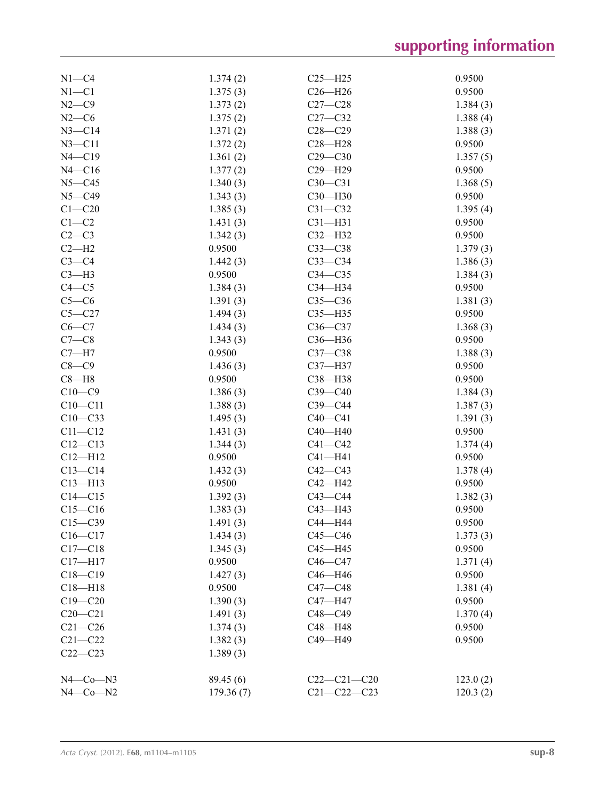| $N1-C4$     | 1.374(2)             | $C25 - H25$       | 0.9500             |
|-------------|----------------------|-------------------|--------------------|
| $N1 - C1$   | 1.375(3)             | $C26 - H26$       | 0.9500             |
| $N2-C9$     | 1.373(2)             | $C27 - C28$       | 1.384(3)           |
| $N2-C6$     | 1.375(2)             | $C27-C32$         | 1.388(4)           |
| $N3 - C14$  | 1.371(2)             | $C28 - C29$       | 1.388(3)           |
| $N3 - C11$  | 1.372(2)             | $C28 - H28$       | 0.9500             |
| $N4 - C19$  | 1.361(2)             | $C29 - C30$       | 1.357(5)           |
| $N4 - C16$  | 1.377(2)             | $C29 - H29$       | 0.9500             |
| $N5 - C45$  | 1.340(3)             | $C30-C31$         | 1.368(5)           |
| $N5 - C49$  | 1.343(3)             | C30-H30           | 0.9500             |
| $C1 - C20$  | 1.385(3)             | $C31 - C32$       | 1.395(4)           |
| $C1-C2$     | 1.431(3)             | $C31 - H31$       | 0.9500             |
| $C2-C3$     | 1.342(3)             | $C32 - H32$       | 0.9500             |
| $C2-H2$     | 0.9500               | $C33-C38$         | 1.379(3)           |
| $C3-C4$     | 1.442(3)             | $C33-C34$         | 1.386(3)           |
| $C3-H3$     | 0.9500               | $C34 - C35$       | 1.384(3)           |
| $C4 - C5$   | 1.384(3)             | C34-H34           | 0.9500             |
| $C5-C6$     | 1.391(3)             | $C35-C36$         | 1.381(3)           |
| $C5 - C27$  |                      | $C35 - H35$       | 0.9500             |
| $C6-C7$     | 1.494(3)<br>1.434(3) | $C36-C37$         |                    |
| $C7-C8$     | 1.343(3)             | C36-H36           | 1.368(3)<br>0.9500 |
| $C7 - H7$   | 0.9500               | $C37 - C38$       |                    |
| $C8-C9$     |                      | C37-H37           | 1.388(3)<br>0.9500 |
|             | 1.436(3)             |                   |                    |
| $C8 - H8$   | 0.9500               | C38-H38           | 0.9500             |
| $C10 - C9$  | 1.386(3)             | $C39 - C40$       | 1.384(3)           |
| $C10 - C11$ | 1.388(3)             | $C39 - C44$       | 1.387(3)           |
| $C10 - C33$ | 1.495(3)             | $C40-C41$         | 1.391(3)           |
| $C11 - C12$ | 1.431(3)             | $C40 - H40$       | 0.9500             |
| $C12 - C13$ | 1.344(3)             | $C41 - C42$       | 1.374(4)           |
| $C12 - H12$ | 0.9500               | $C41 - H41$       | 0.9500             |
| $C13 - C14$ | 1.432(3)             | $C42-C43$         | 1.378(4)           |
| $C13 - H13$ | 0.9500               | $C42 - H42$       | 0.9500             |
| $C14 - C15$ | 1.392(3)             | $C43 - C44$       | 1.382(3)           |
| $C15-C16$   | 1.383(3)             | $C43 - H43$       | 0.9500             |
| $C15 - C39$ | 1.491(3)             | C44-H44           | 0.9500             |
| $C16 - C17$ | 1.434(3)             | $C45 - C46$       | 1.373(3)           |
| $C17 - C18$ | 1.345(3)             | C45-H45           | 0.9500             |
| $C17 - H17$ | 0.9500               | $C46-C47$         | 1.371(4)           |
| $C18 - C19$ | 1.427(3)             | C46-H46           | 0.9500             |
| $C18 - H18$ | 0.9500               | $C47 - C48$       | 1.381(4)           |
| $C19 - C20$ | 1.390(3)             | C47-H47           | 0.9500             |
| $C20-C21$   | 1.491(3)             | $C48 - C49$       | 1.370(4)           |
| $C21 - C26$ | 1.374(3)             | C48-H48           | 0.9500             |
| $C21 - C22$ | 1.382(3)             | C49-H49           | 0.9500             |
| $C22-C23$   | 1.389(3)             |                   |                    |
| $N4$ –Co–N3 | 89.45 (6)            | $C22-C21-C20$     | 123.0(2)           |
| $N4$ –Co–N2 | 179.36(7)            | $C21 - C22 - C23$ | 120.3(2)           |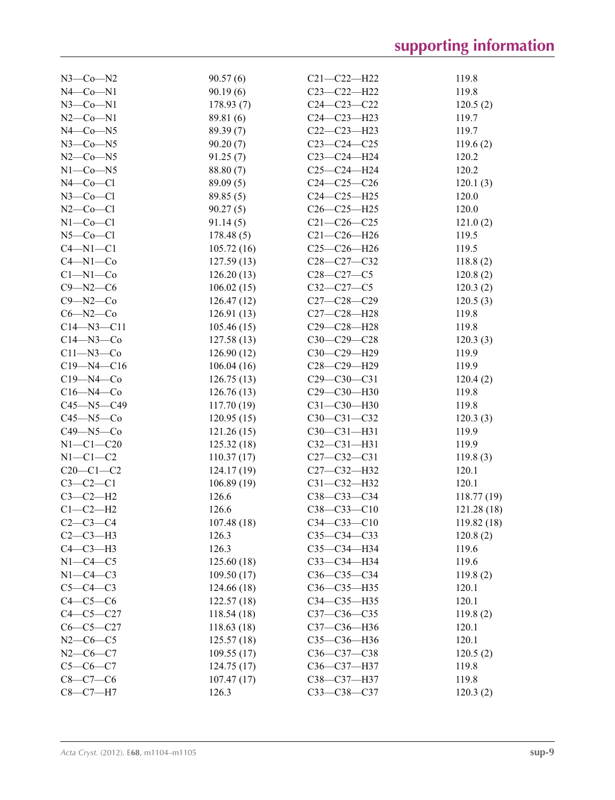| $N3$ —Co—N2        | 90.57(6)    | $C21 - C22 - H22$ | 119.8      |
|--------------------|-------------|-------------------|------------|
| $N4$ — $Co$ — $N1$ | 90.19(6)    | $C23 - C22 - H22$ | 119.8      |
| $N3$ —Co—N1        | 178.93(7)   | $C24 - C23 - C22$ | 120.5(2)   |
| $N2$ –Co–N1        | 89.81 (6)   | $C24 - C23 - H23$ | 119.7      |
| $N4$ –Co–N5        | 89.39 (7)   | $C22-C23-H23$     | 119.7      |
|                    |             | $C23-C24-C25$     |            |
| $N3$ —Co—N5        | 90.20(7)    |                   | 119.6(2)   |
| $N2$ –Co–N5        | 91.25(7)    | $C23-C24-H24$     | 120.2      |
| $N1$ — $Co$ — $N5$ | 88.80 (7)   | $C25-C24-H24$     | 120.2      |
| $N4$ —Co—Cl        | 89.09(5)    | $C24 - C25 - C26$ | 120.1(3)   |
| $N3$ –Co–Cl        | 89.85 (5)   | $C24 - C25 - H25$ | 120.0      |
| $N2$ –Co–Cl        | 90.27(5)    | $C26 - C25 - H25$ | 120.0      |
| $N1-Co-C1$         | 91.14(5)    | $C21 - C26 - C25$ | 121.0(2)   |
| $N5$ — $Co$ — $Cl$ | 178.48(5)   | $C21 - C26 - H26$ | 119.5      |
| $C4 - N1 - C1$     | 105.72(16)  | $C25-C26-H26$     | 119.5      |
| $C4 - N1 - Co$     | 127.59(13)  | $C28 - C27 - C32$ | 118.8(2)   |
| $C1 - N1 - Co$     | 126.20(13)  | $C28 - C27 - C5$  | 120.8(2)   |
| $C9 - N2 - C6$     | 106.02(15)  | $C32-C27-C5$      | 120.3(2)   |
| $C9 - N2 - C0$     | 126.47(12)  | $C27 - C28 - C29$ | 120.5(3)   |
| $C6 - N2 - C0$     | 126.91(13)  | C27-C28-H28       | 119.8      |
| $C14 - N3 - C11$   | 105.46(15)  | C29-C28-H28       | 119.8      |
| $C14 - N3 - Co$    | 127.58(13)  | $C30-C29-C28$     | 120.3(3)   |
| $C11 - N3 - C0$    | 126.90(12)  | C30-C29-H29       | 119.9      |
| $C19 - N4 - C16$   | 106.04(16)  | C28-C29-H29       | 119.9      |
| $C19 - N4 - Co$    |             | $C29 - C30 - C31$ |            |
|                    | 126.75(13)  |                   | 120.4(2)   |
| $C16 - N4 - Co$    | 126.76(13)  | C29-C30-H30       | 119.8      |
| C45-N5-C49         | 117.70(19)  | C31-C30-H30       | 119.8      |
| $C45 - N5 - C0$    | 120.95(15)  | $C30 - C31 - C32$ | 120.3(3)   |
| $C49 - N5 - C0$    | 121.26(15)  | $C30-C31-H31$     | 119.9      |
| $N1 - C1 - C20$    | 125.32(18)  | $C32-C31-H31$     | 119.9      |
| $N1-C1-C2$         | 110.37(17)  | $C27 - C32 - C31$ | 119.8(3)   |
| $C20-C1-C2$        | 124.17(19)  | C27-C32-H32       | 120.1      |
| $C3-C2-C1$         | 106.89(19)  | C31-C32-H32       | 120.1      |
| $C3-C2-H2$         | 126.6       | $C38 - C33 - C34$ | 118.77(19) |
| $C1-C2-H2$         | 126.6       | $C38 - C33 - C10$ | 121.28(18) |
| $C2-C3-C4$         | 107.48(18)  | $C34 - C33 - C10$ | 119.82(18) |
| $C2-C3-H3$         | 126.3       | $C35 - C34 - C33$ | 120.8(2)   |
| $C4-C3-H3$         | 126.3       | C35-C34-H34       | 119.6      |
| $N1-C4-C5$         | 125.60(18)  | C33-C34-H34       | 119.6      |
| $N1-C4-C3$         | 109.50(17)  | $C36-C35-C34$     | 119.8(2)   |
| $C5-C4-C3$         | 124.66 (18) | C36-C35-H35       | 120.1      |
| $C4-C5-C6$         |             | C34-C35-H35       | 120.1      |
|                    | 122.57(18)  |                   |            |
| $C4-C5-C27$        | 118.54(18)  | $C37 - C36 - C35$ | 119.8(2)   |
| $C6-C5-C27$        | 118.63(18)  | C37-C36-H36       | 120.1      |
| $N2-C6-C5$         | 125.57(18)  | C35-C36-H36       | 120.1      |
| $N2-C6-C7$         | 109.55(17)  | C36-C37-C38       | 120.5(2)   |
| $C5 - C6 - C7$     | 124.75(17)  | C36-C37-H37       | 119.8      |
| $C8-C7-C6$         | 107.47(17)  | C38-C37-H37       | 119.8      |
| $C8-C7-H7$         | 126.3       | $C33 - C38 - C37$ | 120.3(2)   |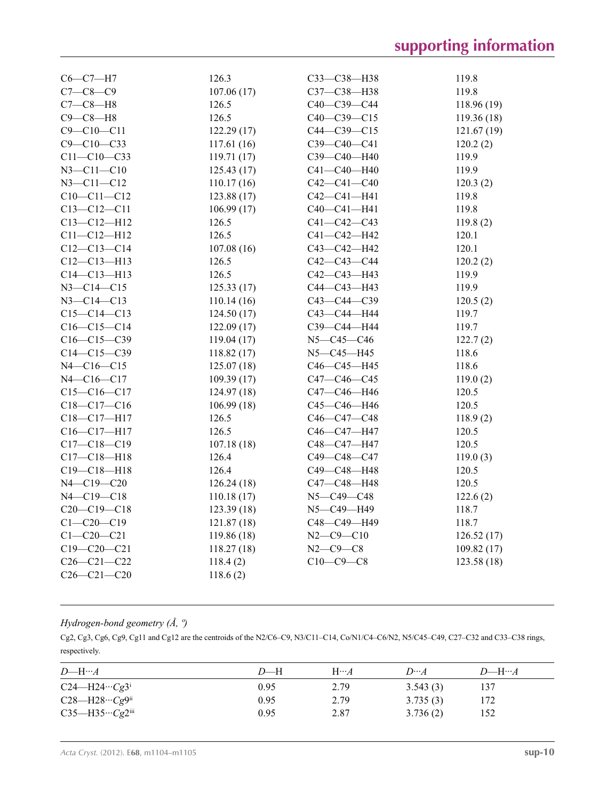| $C6-C7-H7$        | 126.3       | C33-C38-H38       | 119.8       |
|-------------------|-------------|-------------------|-------------|
| $C7-C8-C9$        | 107.06(17)  | C37-C38-H38       | 119.8       |
| $C7-C8-H8$        | 126.5       | C40-C39-C44       | 118.96 (19) |
| $C9-C8-H8$        | 126.5       | $C40-C39-C15$     | 119.36(18)  |
| $C9 - C10 - C11$  | 122.29(17)  | $C44 - C39 - C15$ | 121.67(19)  |
| $C9 - C10 - C33$  | 117.61(16)  | C39-C40-C41       | 120.2(2)    |
| $C11 - C10 - C33$ | 119.71(17)  | C39-C40-H40       | 119.9       |
| $N3 - C11 - C10$  | 125.43(17)  | C41-C40-H40       | 119.9       |
| $N3 - C11 - C12$  | 110.17(16)  | $C42 - C41 - C40$ | 120.3(2)    |
| $C10-C11-C12$     | 123.88 (17) | $C42 - C41 - H41$ | 119.8       |
| $C13 - C12 - C11$ | 106.99(17)  | $C40 - C41 - H41$ | 119.8       |
| $C13 - C12 - H12$ | 126.5       | $C41 - C42 - C43$ | 119.8(2)    |
| $C11 - C12 - H12$ | 126.5       | C41-C42-H42       | 120.1       |
| $C12-C13-C14$     | 107.08(16)  | C43-C42-H42       | 120.1       |
| $C12 - C13 - H13$ | 126.5       | C42-C43-C44       | 120.2(2)    |
| $C14 - C13 - H13$ | 126.5       | C42-C43-H43       | 119.9       |
| N3-C14-C15        | 125.33(17)  | C44-C43-H43       | 119.9       |
| N3-C14-C13        | 110.14(16)  | C43-C44-C39       | 120.5(2)    |
| $C15-C14-C13$     | 124.50(17)  | C43-C44-H44       | 119.7       |
| $C16-C15-C14$     | 122.09(17)  | СЗ9-С44-Н44       | 119.7       |
| $C16-C15-C39$     | 119.04(17)  | $N5 - C45 - C46$  | 122.7(2)    |
| $C14 - C15 - C39$ | 118.82(17)  | N5-C45-H45        | 118.6       |
| $N4 - C16 - C15$  | 125.07(18)  | C46-C45-H45       | 118.6       |
| N4-C16-C17        | 109.39(17)  | C47-C46-C45       | 119.0(2)    |
| $C15-C16-C17$     | 124.97 (18) | C47-C46-H46       | 120.5       |
| $C18 - C17 - C16$ | 106.99(18)  | C45-C46-H46       | 120.5       |
| C18-C17-H17       | 126.5       | C46-C47-C48       | 118.9(2)    |
| $C16 - C17 - H17$ | 126.5       | C46-C47-H47       | 120.5       |
| $C17 - C18 - C19$ | 107.18(18)  | C48-C47-H47       | 120.5       |
| $C17 - C18 - H18$ | 126.4       | C49-C48-C47       | 119.0(3)    |
| $C19 - C18 - H18$ | 126.4       | C49-C48-H48       | 120.5       |
| N4-C19-C20        | 126.24 (18) | C47-C48-H48       | 120.5       |
| N4-C19-C18        | 110.18(17)  | N5-C49-C48        | 122.6(2)    |
| $C20-C19-C18$     | 123.39(18)  | N5-C49-H49        | 118.7       |
| $C1 - C20 - C19$  | 121.87(18)  | C48-C49-H49       | 118.7       |
| $C1 - C20 - C21$  | 119.86(18)  | $N2 - C9 - C10$   | 126.52(17)  |
| $C19 - C20 - C21$ | 118.27(18)  | $N2 - C9 - C8$    | 109.82(17)  |
| $C26 - C21 - C22$ | 118.4(2)    | $C10-C9-C8$       | 123.58 (18) |
| $C26 - C21 - C20$ | 118.6(2)    |                   |             |

## *Hydrogen-bond geometry (Å, º)*

Cg2, Cg3, Cg6, Cg9, Cg11 and Cg12 are the centroids of the N2/C6–C9, N3/C11–C14, Co/N1/C4–C6/N2, N5/C45–C49, C27–C32 and C33–C38 rings, respectively.

| D—H… $A$                             | $D$ —H | $H \cdots A$ | $D \cdots A$ | $D$ —H… $A$ |  |
|--------------------------------------|--------|--------------|--------------|-------------|--|
| $C24 - H24 \cdots Cg3$ <sup>i</sup>  | 0.95   | 2.79         | 3.543(3)     | 137         |  |
| $C28 - H28 \cdots Cg9$ <sup>ii</sup> | 0.95   | 2.79         | 3.735(3)     | 172         |  |
| $C35 - H35 \cdots Cg2$ iii           | 0.95   | 2.87         | 3.736(2)     | 152         |  |